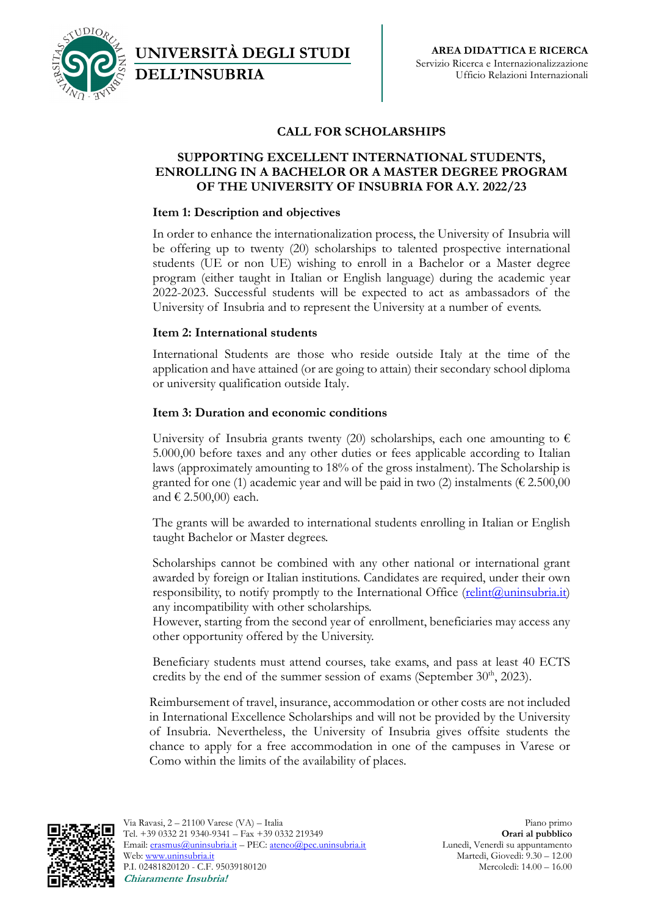

**UNIVERSITÀ DEGLI STUDI DELL'INSUBRIA**

# **CALL FOR SCHOLARSHIPS**

## **SUPPORTING EXCELLENT INTERNATIONAL STUDENTS, ENROLLING IN A BACHELOR OR A MASTER DEGREE PROGRAM OF THE UNIVERSITY OF INSUBRIA FOR A.Y. 2022/23**

## **Item 1: Description and objectives**

In order to enhance the internationalization process, the University of Insubria will be offering up to twenty (20) scholarships to talented prospective international students (UE or non UE) wishing to enroll in a Bachelor or a Master degree program (either taught in Italian or English language) during the academic year 2022-2023. Successful students will be expected to act as ambassadors of the University of Insubria and to represent the University at a number of events.

## **Item 2: International students**

International Students are those who reside outside Italy at the time of the application and have attained (or are going to attain) their secondary school diploma or university qualification outside Italy.

## **Item 3: Duration and economic conditions**

University of Insubria grants twenty (20) scholarships, each one amounting to  $\epsilon$ 5.000,00 before taxes and any other duties or fees applicable according to Italian laws (approximately amounting to 18% of the gross instalment). The Scholarship is granted for one (1) academic year and will be paid in two (2) instalments ( $\epsilon$  2.500,00 and  $\in$  2.500,00) each.

The grants will be awarded to international students enrolling in Italian or English taught Bachelor or Master degrees.

Scholarships cannot be combined with any other national or international grant awarded by foreign or Italian institutions. Candidates are required, under their own responsibility, to notify promptly to the International Office (relint@uninsubria.it) any incompatibility with other scholarships.

However, starting from the second year of enrollment, beneficiaries may access any other opportunity offered by the University.

Beneficiary students must attend courses, take exams, and pass at least 40 ECTS credits by the end of the summer session of exams (September  $30<sup>th</sup>$ , 2023).

Reimbursement of travel, insurance, accommodation or other costs are not included in International Excellence Scholarships and will not be provided by the University of Insubria. Nevertheless, the University of Insubria gives offsite students the chance to apply for a free accommodation in one of the campuses in Varese or Como within the limits of the availability of places.

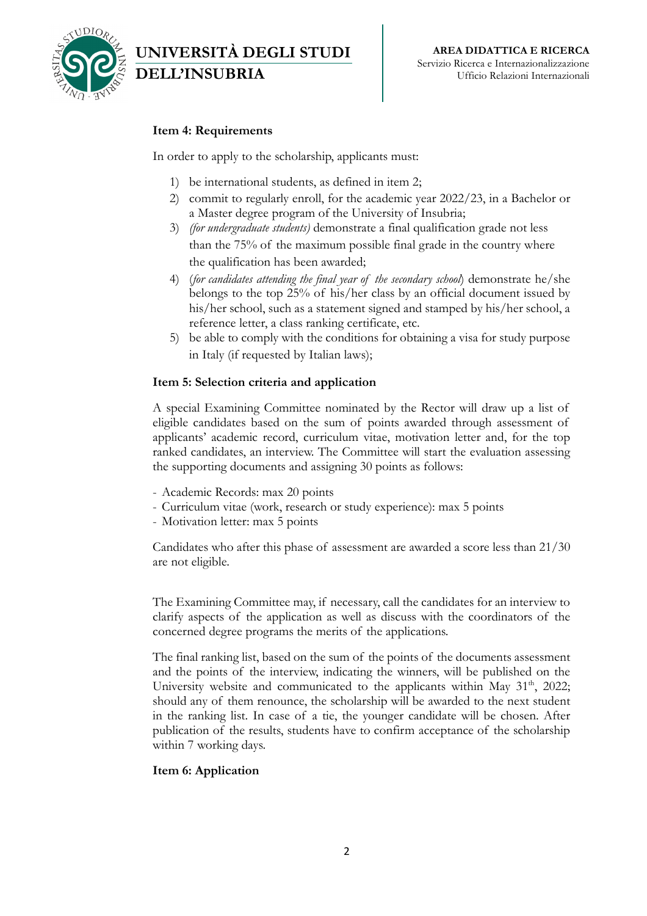

# **Item 4: Requirements**

**DELL'INSUBRIA**

**UNIVERSITÀ DEGLI STUDI** 

In order to apply to the scholarship, applicants must:

- 1) be international students, as defined in item 2;
- 2) commit to regularly enroll, for the academic year 2022/23, in a Bachelor or a Master degree program of the University of Insubria;
- 3) *(for undergraduate students)* demonstrate a final qualification grade not less than the 75% of the maximum possible final grade in the country where the qualification has been awarded;
- 4) (*for candidates attending the final year of the secondary school*) demonstrate he/she belongs to the top 25% of his/her class by an official document issued by his/her school, such as a statement signed and stamped by his/her school, a reference letter, a class ranking certificate, etc.
- 5) be able to comply with the conditions for obtaining a visa for study purpose in Italy (if requested by Italian laws);

#### **Item 5: Selection criteria and application**

A special Examining Committee nominated by the Rector will draw up a list of eligible candidates based on the sum of points awarded through assessment of applicants' academic record, curriculum vitae, motivation letter and, for the top ranked candidates, an interview. The Committee will start the evaluation assessing the supporting documents and assigning 30 points as follows:

- Academic Records: max 20 points
- Curriculum vitae (work, research or study experience): max 5 points
- Motivation letter: max 5 points

Candidates who after this phase of assessment are awarded a score less than 21/30 are not eligible.

The Examining Committee may, if necessary, call the candidates for an interview to clarify aspects of the application as well as discuss with the coordinators of the concerned degree programs the merits of the applications.

The final ranking list, based on the sum of the points of the documents assessment and the points of the interview, indicating the winners, will be published on the University website and communicated to the applicants within May  $31<sup>th</sup>$ , 2022; should any of them renounce, the scholarship will be awarded to the next student in the ranking list. In case of a tie, the younger candidate will be chosen. After publication of the results, students have to confirm acceptance of the scholarship within 7 working days.

### **Item 6: Application**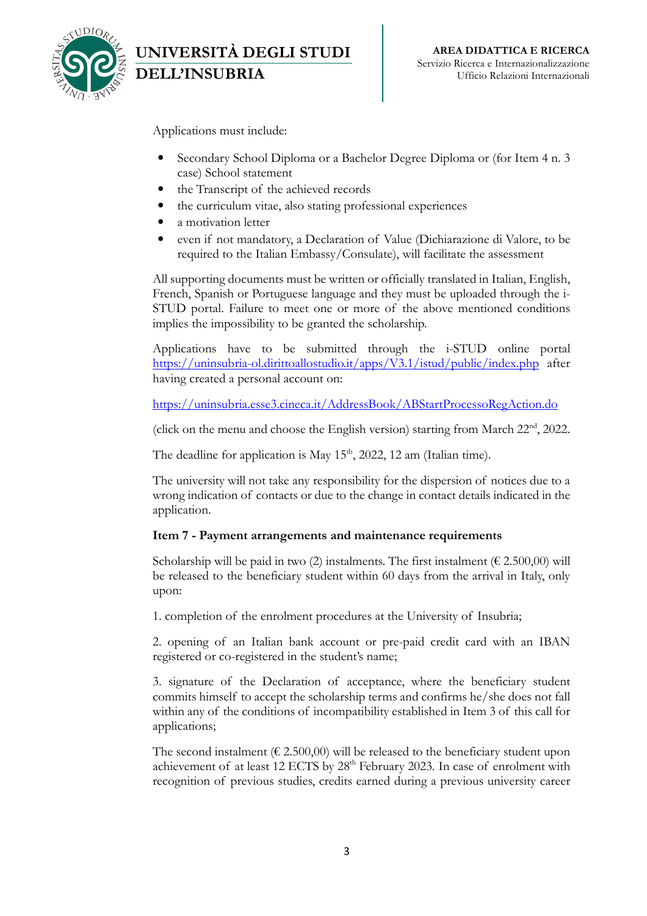

Applications must include:

**DELL'INSUBRIA**

**UNIVERSITÀ DEGLI STUDI** 

- Secondary School Diploma or a Bachelor Degree Diploma or (for Item 4 n. 3 case) School statement
- the Transcript of the achieved records
- the curriculum vitae, also stating professional experiences
- a motivation letter
- even if not mandatory, a Declaration of Value (Dichiarazione di Valore, to be required to the Italian Embassy/Consulate), will facilitate the assessment

All supporting documents must be written or officially translated in Italian, English, French, Spanish or Portuguese language and they must be uploaded through the i-STUD portal. Failure to meet one or more of the above mentioned conditions implies the impossibility to be granted the scholarship.

Applications have to be submitted through the i-STUD online portal https://uninsubria-ol.dirittoallostudio.it/apps/V3.1/istud/public/index.php after having created a personal account on:

https://uninsubria.esse3.cineca.it/AddressBook/ABStartProcessoRegAction.do

(click on the menu and choose the English version) starting from March 22nd, 2022.

The deadline for application is May  $15<sup>th</sup>$ , 2022, 12 am (Italian time).

The university will not take any responsibility for the dispersion of notices due to a wrong indication of contacts or due to the change in contact details indicated in the application.

### **Item 7 - Payment arrangements and maintenance requirements**

Scholarship will be paid in two (2) instalments. The first instalment ( $\epsilon$  2.500,00) will be released to the beneficiary student within 60 days from the arrival in Italy, only upon:

1. completion of the enrolment procedures at the University of Insubria;

2. opening of an Italian bank account or pre-paid credit card with an IBAN registered or co-registered in the student's name;

3. signature of the Declaration of acceptance, where the beneficiary student commits himself to accept the scholarship terms and confirms he/she does not fall within any of the conditions of incompatibility established in Item 3 of this call for applications;

The second instalment ( $\epsilon$  2.500,00) will be released to the beneficiary student upon achievement of at least 12 ECTS by 28<sup>th</sup> February 2023. In case of enrolment with recognition of previous studies, credits earned during a previous university career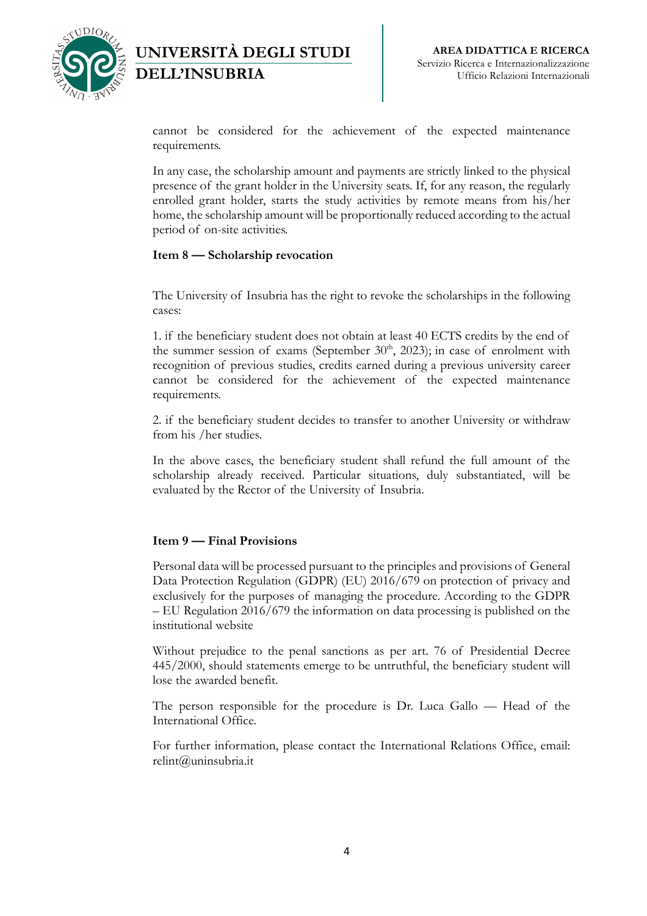

**UNIVERSITÀ DEGLI STUDI DELL'INSUBRIA**

cannot be considered for the achievement of the expected maintenance requirements.

In any case, the scholarship amount and payments are strictly linked to the physical presence of the grant holder in the University seats. If, for any reason, the regularly enrolled grant holder, starts the study activities by remote means from his/her home, the scholarship amount will be proportionally reduced according to the actual period of on-site activities.

### **Item 8 — Scholarship revocation**

The University of Insubria has the right to revoke the scholarships in the following cases:

1. if the beneficiary student does not obtain at least 40 ECTS credits by the end of the summer session of exams (September  $30<sup>th</sup>$ , 2023); in case of enrolment with recognition of previous studies, credits earned during a previous university career cannot be considered for the achievement of the expected maintenance requirements.

2. if the beneficiary student decides to transfer to another University or withdraw from his /her studies.

In the above cases, the beneficiary student shall refund the full amount of the scholarship already received. Particular situations, duly substantiated, will be evaluated by the Rector of the University of Insubria.

### **Item 9 — Final Provisions**

Personal data will be processed pursuant to the principles and provisions of General Data Protection Regulation (GDPR) (EU) 2016/679 on protection of privacy and exclusively for the purposes of managing the procedure. According to the GDPR – EU Regulation 2016/679 the information on data processing is published on the institutional website

Without prejudice to the penal sanctions as per art. 76 of Presidential Decree 445/2000, should statements emerge to be untruthful, the beneficiary student will lose the awarded benefit.

The person responsible for the procedure is Dr. Luca Gallo — Head of the International Office.

For further information, please contact the International Relations Office, email: relint@uninsubria.it